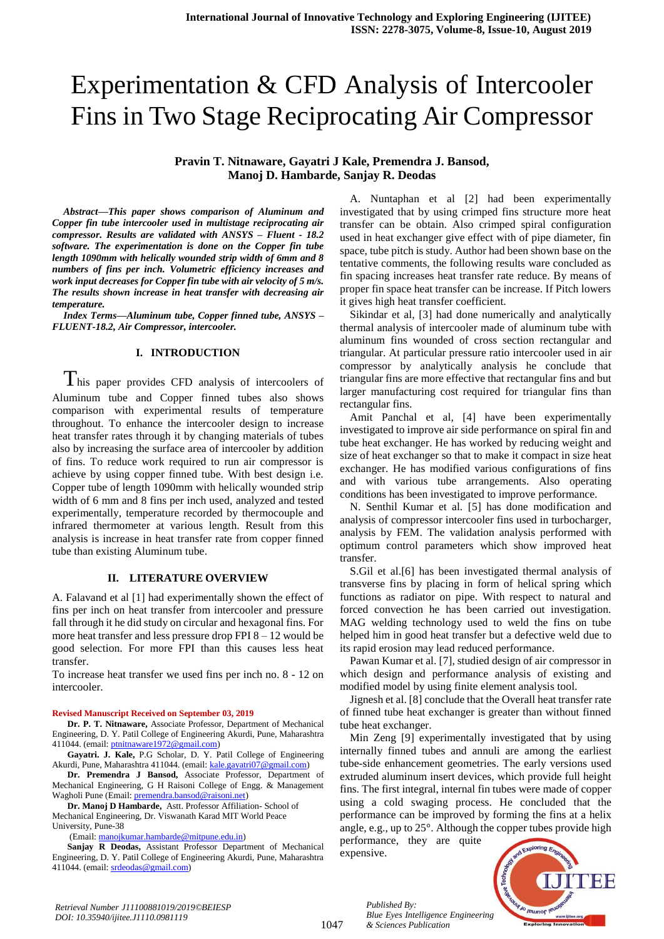# Experimentation & CFD Analysis of Intercooler Fins in Two Stage Reciprocating Air Compressor

# **Pravin T. Nitnaware, Gayatri J Kale, Premendra J. Bansod, Manoj D. Hambarde, Sanjay R. Deodas**

*Abstract—This paper shows comparison of Aluminum and Copper fin tube intercooler used in multistage reciprocating air compressor. Results are validated with ANSYS – Fluent - 18.2 software. The experimentation is done on the Copper fin tube length 1090mm with helically wounded strip width of 6mm and 8 numbers of fins per inch. Volumetric efficiency increases and work input decreases for Copper fin tube with air velocity of 5 m/s. The results shown increase in heat transfer with decreasing air temperature.*

*Index Terms—Aluminum tube, Copper finned tube, ANSYS – FLUENT-18.2, Air Compressor, intercooler.*

#### **I. INTRODUCTION**

 $T$ his paper provides CFD analysis of intercoolers of Aluminum tube and Copper finned tubes also shows comparison with experimental results of temperature throughout. To enhance the intercooler design to increase heat transfer rates through it by changing materials of tubes also by increasing the surface area of intercooler by addition of fins. To reduce work required to run air compressor is achieve by using copper finned tube. With best design i.e. Copper tube of length 1090mm with helically wounded strip width of 6 mm and 8 fins per inch used, analyzed and tested experimentally, temperature recorded by thermocouple and infrared thermometer at various length. Result from this analysis is increase in heat transfer rate from copper finned tube than existing Aluminum tube.

#### **II. LITERATURE OVERVIEW**

A. Falavand et al [1] had experimentally shown the effect of fins per inch on heat transfer from intercooler and pressure fall through it he did study on circular and hexagonal fins. For more heat transfer and less pressure drop FPI 8 – 12 would be good selection. For more FPI than this causes less heat transfer.

To increase heat transfer we used fins per inch no. 8 - 12 on intercooler.

#### **Revised Manuscript Received on September 03, 2019**

**Dr. P. T. Nitnaware,** Associate Professor, Department of Mechanical Engineering, D. Y. Patil College of Engineering Akurdi, Pune, Maharashtra 411044. (email[: ptnitnaware1972@gmail.com\)](mailto:ptnitnaware1972@gmail.com)

**Gayatri. J. Kale,** P.G Scholar, D. Y. Patil College of Engineering Akurdi, Pune, Maharashtra 411044. (email: [kale.gayatri07@gmail.com\)](mailto:kale.gayatri07@gmail.com)

**Dr. Premendra J Bansod,** Associate Professor, Department of Mechanical Engineering, G H Raisoni College of Engg. & Management Wagholi Pune (Email[: premendra.bansod@raisoni.net\)](mailto:premendra.bansod@raisoni.net)

**Dr. Manoj D Hambarde,** Astt. Professor Affiliation- School of Mechanical Engineering, Dr. Viswanath Karad MIT World Peace University, Pune-38

(Email[: manojkumar.hambarde@mitpune.edu.in\)](mailto:manojkumar.hambarde@mitpune.edu.in)

**Sanjay R Deodas,** Assistant Professor Department of Mechanical Engineering, D. Y. Patil College of Engineering Akurdi, Pune, Maharashtra 411044. (email[: srdeodas@gmail.com\)](mailto:srdeodas@gmail.com)

A. Nuntaphan et al [2] had been experimentally investigated that by using crimped fins structure more heat transfer can be obtain. Also crimped spiral configuration used in heat exchanger give effect with of pipe diameter, fin space, tube pitch is study. Author had been shown base on the tentative comments, the following results ware concluded as fin spacing increases heat transfer rate reduce. By means of proper fin space heat transfer can be increase. If Pitch lowers it gives high heat transfer coefficient.

Sikindar et al, [3] had done numerically and analytically thermal analysis of intercooler made of aluminum tube with aluminum fins wounded of cross section rectangular and triangular. At particular pressure ratio intercooler used in air compressor by analytically analysis he conclude that triangular fins are more effective that rectangular fins and but larger manufacturing cost required for triangular fins than rectangular fins.

Amit Panchal et al, [4] have been experimentally investigated to improve air side performance on spiral fin and tube heat exchanger. He has worked by reducing weight and size of heat exchanger so that to make it compact in size heat exchanger. He has modified various configurations of fins and with various tube arrangements. Also operating conditions has been investigated to improve performance.

N. Senthil Kumar et al. [5] has done modification and analysis of compressor intercooler fins used in turbocharger, analysis by FEM. The validation analysis performed with optimum control parameters which show improved heat transfer.

S.Gil et al.[6] has been investigated thermal analysis of transverse fins by placing in form of helical spring which functions as radiator on pipe. With respect to natural and forced convection he has been carried out investigation. MAG welding technology used to weld the fins on tube helped him in good heat transfer but a defective weld due to its rapid erosion may lead reduced performance.

Pawan Kumar et al. [7], studied design of air compressor in which design and performance analysis of existing and modified model by using finite element analysis tool.

Jignesh et al. [8] conclude that the Overall heat transfer rate of finned tube heat exchanger is greater than without finned tube heat exchanger.

Min Zeng [9] experimentally investigated that by using internally finned tubes and annuli are among the earliest tube-side enhancement geometries. The early versions used extruded aluminum insert devices, which provide full height fins. The first integral, internal fin tubes were made of copper using a cold swaging process. He concluded that the performance can be improved by forming the fins at a helix angle, e.g., up to 25°. Although the copper tubes provide high

performance, they are quite expensive.

*& Sciences Publication* 

*Published By:*



*Retrieval Number J11100881019/2019©BEIESP DOI: 10.35940/ijitee.J1110.0981119*

1047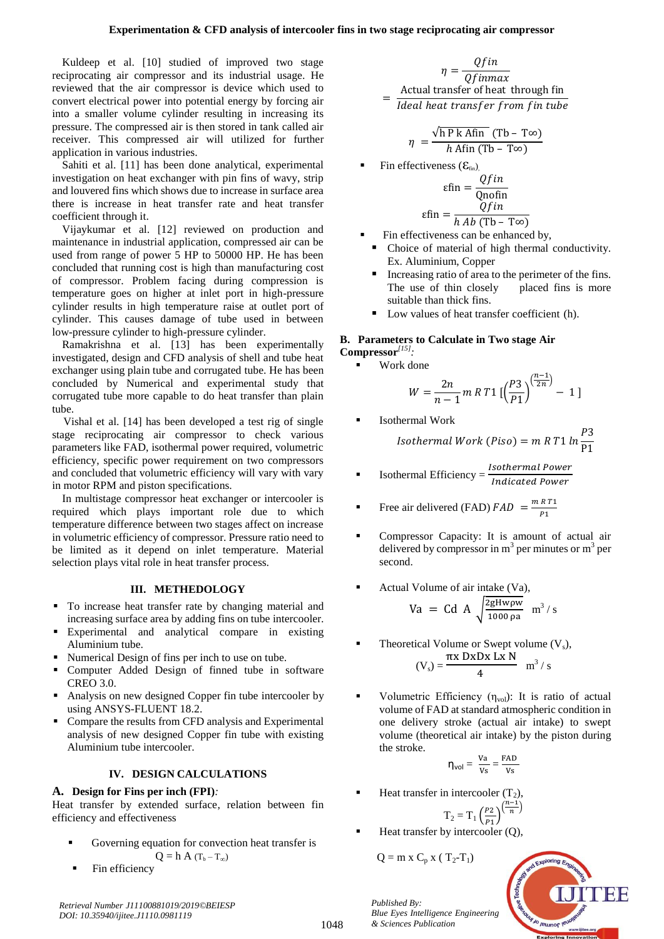Kuldeep et al. [10] studied of improved two stage reciprocating air compressor and its industrial usage. He reviewed that the air compressor is device which used to convert electrical power into potential energy by forcing air into a smaller volume cylinder resulting in increasing its pressure. The compressed air is then stored in tank called air receiver. This compressed air will utilized for further application in various industries.

Sahiti et al. [11] has been done analytical, experimental investigation on heat exchanger with pin fins of wavy, strip and louvered fins which shows due to increase in surface area there is increase in heat transfer rate and heat transfer coefficient through it.

Vijaykumar et al. [12] reviewed on production and maintenance in industrial application, compressed air can be used from range of power 5 HP to 50000 HP. He has been concluded that running cost is high than manufacturing cost of compressor. Problem facing during compression is temperature goes on higher at inlet port in high-pressure cylinder results in high temperature raise at outlet port of cylinder. This causes damage of tube used in between low-pressure cylinder to high-pressure cylinder.

Ramakrishna et al. [13] has been experimentally investigated, design and CFD analysis of shell and tube heat exchanger using plain tube and corrugated tube. He has been concluded by Numerical and experimental study that corrugated tube more capable to do heat transfer than plain tube.

Vishal et al. [14] has been developed a test rig of single stage reciprocating air compressor to check various parameters like FAD, isothermal power required, volumetric efficiency, specific power requirement on two compressors and concluded that volumetric efficiency will vary with vary in motor RPM and piston specifications.

In multistage compressor heat exchanger or intercooler is required which plays important role due to which temperature difference between two stages affect on increase in volumetric efficiency of compressor. Pressure ratio need to be limited as it depend on inlet temperature. Material selection plays vital role in heat transfer process.

# **III. METHEDOLOGY**

- To increase heat transfer rate by changing material and increasing surface area by adding fins on tube intercooler.
- Experimental and analytical compare in existing Aluminium tube.
- Numerical Design of fins per inch to use on tube.
- Computer Added Design of finned tube in software CREO 3.0.
- Analysis on new designed Copper fin tube intercooler by using ANSYS-FLUENT 18.2.
- Compare the results from CFD analysis and Experimental analysis of new designed Copper fin tube with existing Aluminium tube intercooler.

# **IV. DESIGN CALCULATIONS**

## **A. Design for Fins per inch (FPI)***:*

Heat transfer by extended surface, relation between fin efficiency and effectiveness

- Governing equation for convection heat transfer is  $Q = h A (T_b - T_\infty)$
- Fin efficiency

$$
\eta = \frac{Qfin}{Qfinmax}
$$
  
= 
$$
\frac{\text{Actual transfer of heat through fin}}{\text{Ideal heat transfer from fin tube}}
$$

$$
\eta = \frac{\sqrt{\ln P k \text{ Afin}} \text{ (Tb - T\infty)}}{h \text{ Afin } \text{(Tb - T\infty)}}
$$

Fin effectiveness  $(\mathcal{E}_{fin})$ 

$$
\varepsilon \text{fin} = \frac{Qfin}{Qnofin}
$$

$$
\varepsilon \text{fin} = \frac{Qfin}{hAb (Tb - T\infty)}
$$

- Fin effectiveness can be enhanced by,
	- Choice of material of high thermal conductivity. Ex. Aluminium, Copper
	- Increasing ratio of area to the perimeter of the fins. The use of thin closely placed fins is more suitable than thick fins.
- Low values of heat transfer coefficient (h).

## **B. Parameters to Calculate in Two stage Air Compressor***[15] :*

Work done

$$
W = \frac{2n}{n-1} m R T 1 \left[ \left( \frac{P3}{P1} \right)^{\left( \frac{n-1}{2n} \right)} - 1 \right]
$$

Isothermal Work

*Isothermal Work (Piso)* = 
$$
m R T1 ln \frac{P3}{P1}
$$

**Isothermal Efficiency** =  $\frac{1}{2}$  $\boldsymbol{l}$ 

**Example 1** Free air delivered (FAD) 
$$
FAD = \frac{mRT1}{P1}
$$

- Compressor Capacity: It is amount of actual air delivered by compressor in  $m<sup>3</sup>$  per minutes or  $m<sup>3</sup>$  per second.
- Actual Volume of air intake (Va),

$$
Va = Cd A \sqrt{\frac{2gHw\rho w}{1000 \rho a}} m^3/s
$$

- **•** Theoretical Volume or Swept volume  $(V_s)$ ,  $(V<sub>s</sub>) =$  $\pi$  $\frac{B \Lambda \ln N}{4}$  m<sup>3</sup>/s
- Volumetric Efficiency  $(\eta_{vol})$ : It is ratio of actual volume of FAD at standard atmospheric condition in one delivery stroke (actual air intake) to swept volume (theoretical air intake) by the piston during the stroke.

$$
\eta_{vol} = \frac{v_a}{v_s} = \frac{\text{FAD}}{v_s}
$$

Heat transfer in intercooler  $(T_2)$ ,

$$
T_2 = T_1 \left(\frac{p_2}{p_1}\right)^{\left(\frac{n-1}{n}\right)}
$$

Heat transfer by intercooler (Q),

$$
Q=m\;x\;C_p\;x\;(\;T_2\text{-}T_1)
$$

*Published By:*

*& Sciences Publication* 

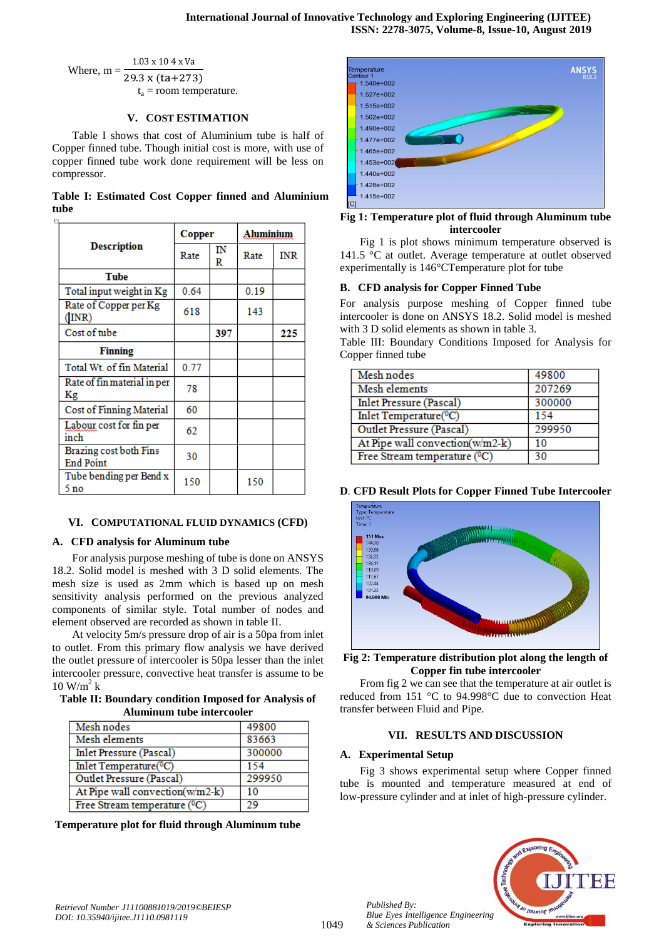Where,  $m =$  $1.03 \times 10.4 \times V_a$  $29.3 x (ta+273)$  $t_a$  = room temperature.

## **V. COST ESTIMATION**

Table I shows that cost of Aluminium tube is half of Copper finned tube. Though initial cost is more, with use of copper finned tube work done requirement will be less on compressor.

|      |  |  | Table I: Estimated Cost Copper finned and Aluminium |
|------|--|--|-----------------------------------------------------|
| tube |  |  |                                                     |

|                                            | Copper |         | Aluminium |            |
|--------------------------------------------|--------|---------|-----------|------------|
| <b>Description</b>                         | Rate   | IN<br>R | Rate      | <b>INR</b> |
| <b>Tube</b>                                |        |         |           |            |
| Total input weight in Kg                   | 0.64   |         | 0.19      |            |
| Rate of Copper per Kg<br>(INR)             | 618    |         | 143       |            |
| Cost of tube                               |        | 397     |           | 225        |
| <b>Finning</b>                             |        |         |           |            |
| Total Wt. of fin Material                  | 0.77   |         |           |            |
| Rate of fin material in per<br>Kg          | 78     |         |           |            |
| <b>Cost of Finning Material</b>            | 60     |         |           |            |
| Labour cost for fin per<br>inch            | 62     |         |           |            |
| Brazing cost both Fins<br><b>End Point</b> | 30     |         |           |            |
| Tube bending per Bend x<br>5 no            | 150    |         | 150       |            |

## **VI. COMPUTATIONAL FLUID DYNAMICS (CFD)**

# **A. CFD analysis for Aluminum tube**

For analysis purpose meshing of tube is done on ANSYS 18.2. Solid model is meshed with 3 D solid elements. The mesh size is used as 2mm which is based up on mesh sensitivity analysis performed on the previous analyzed components of similar style. Total number of nodes and element observed are recorded as shown in table II.

At velocity 5m/s pressure drop of air is a 50pa from inlet to outlet. From this primary flow analysis we have derived the outlet pressure of intercooler is 50pa lesser than the inlet intercooler pressure, convective heat transfer is assume to be  $10$  W/m<sup>2</sup> k

**Table II: Boundary condition Imposed for Analysis of Aluminum tube intercooler**

| Mesh nodes                          | 49800  |
|-------------------------------------|--------|
| Mesh elements                       | 83663  |
| <b>Inlet Pressure (Pascal)</b>      | 300000 |
| Inlet Temperature( <sup>0</sup> C)  | 154    |
| Outlet Pressure (Pascal)            | 299950 |
| At Pipe wall convection(w/m2-k)     | 10     |
| Free Stream temperature $({}^{0}C)$ | 29     |

**Temperature plot for fluid through Aluminum tube**



## **Fig 1: Temperature plot of fluid through Aluminum tube intercooler**

Fig 1 is plot shows minimum temperature observed is 141.5 °C at outlet. Average temperature at outlet observed experimentally is 146°CTemperature plot for tube

## **B. CFD analysis for Copper Finned Tube**

For analysis purpose meshing of Copper finned tube intercooler is done on ANSYS 18.2. Solid model is meshed with 3 D solid elements as shown in table 3.

Table III: Boundary Conditions Imposed for Analysis for Copper finned tube

| Mesh nodes                          | 49800  |
|-------------------------------------|--------|
| Mesh elements                       | 207269 |
| <b>Inlet Pressure (Pascal)</b>      | 300000 |
| Inlet Temperature( <sup>0</sup> C)  | 154    |
| <b>Outlet Pressure (Pascal)</b>     | 299950 |
| At Pipe wall convection(w/m2-k)     | 10     |
| Free Stream temperature $({}^{0}C)$ | 30     |

# **D***.* **CFD Result Plots for Copper Finned Tube Intercooler**



**Fig 2: Temperature distribution plot along the length of Copper fin tube intercooler**

From fig 2 we can see that the temperature at air outlet is reduced from 151 °C to 94.998°C due to convection Heat transfer between Fluid and Pipe.

# **VII. RESULTS AND DISCUSSION**

## **A. Experimental Setup**

*Published By:*

*& Sciences Publication* 

Fig 3 shows experimental setup where Copper finned tube is mounted and temperature measured at end of low-pressure cylinder and at inlet of high-pressure cylinder.

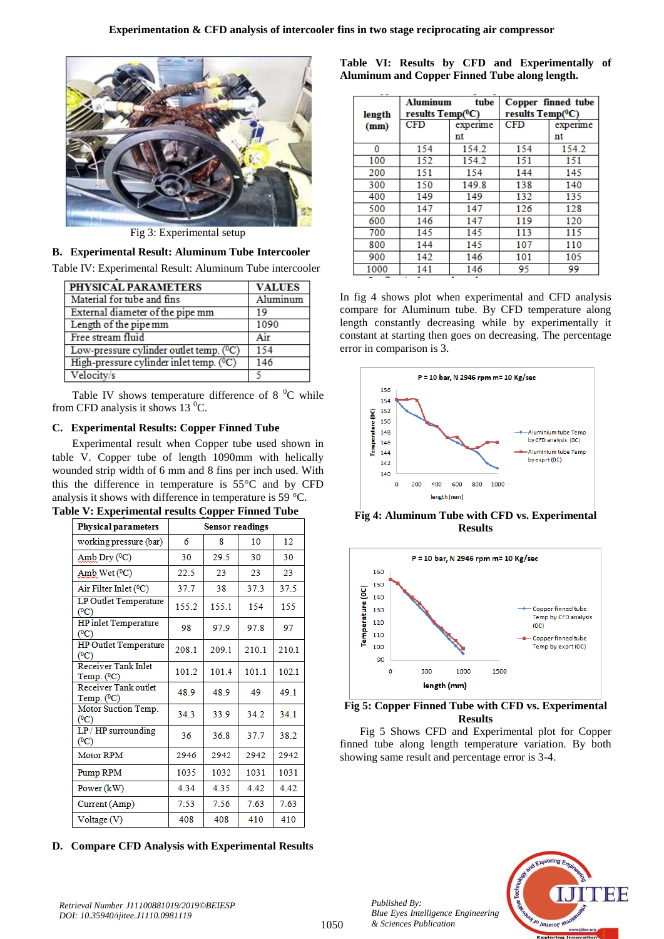

Fig 3: Experimental setup

# **B. Experimental Result: Aluminum Tube Intercooler**

Table IV: Experimental Result: Aluminum Tube intercooler

| PHYSICAL PARAMETERS                                  | <b>VALUES</b> |
|------------------------------------------------------|---------------|
| Material for tube and fins                           | Aluminum      |
| External diameter of the pipe mm                     | 19            |
| Length of the pipe mm                                | 1090          |
| Free stream fluid                                    | Air           |
| Low-pressure cylinder outlet temp. ( <sup>0</sup> C) | 154           |
| High-pressure cylinder inlet temp. (°C)              | 146           |
| Velocity/s                                           |               |

Table IV shows temperature difference of 8 $^{0}$ C while from CFD analysis it shows 13 $^{0}$ C.

## **C. Experimental Results: Copper Finned Tube**

Experimental result when Copper tube used shown in table V. Copper tube of length 1090mm with helically wounded strip width of 6 mm and 8 fins per inch used. With this the difference in temperature is 55°C and by CFD analysis it shows with difference in temperature is 59 °C.

| <b>Physical parameters</b>                     | <b>Sensor readings</b> |       |       |       |  |
|------------------------------------------------|------------------------|-------|-------|-------|--|
| working pressure (bar)                         | 6                      | 8     | 10    | 12    |  |
| Amb Dry $(^{0}C)$                              | 30                     | 29.5  | 30    | 30    |  |
| Amb Wet $(°C)$                                 | 22.5                   | 23    | 23    | 23    |  |
| Air Filter Inlet (°C)                          | 37.7                   | 38    | 37.3  | 37.5  |  |
| LP Outlet Temperature<br>(°C)                  | 155.2                  | 155.1 | 154   | 155   |  |
| <b>HP</b> inlet Temperature<br>$({}^{0}C)$     | 98                     | 97.9  | 97.8  | 97    |  |
| <b>HP</b> Outlet Temperature<br>$(^0C)$        | 208.1                  | 209.1 | 210.1 | 210.1 |  |
| <b>Receiver Tank Inlet</b><br>Temp. $(^{0}C)$  | 101.2                  | 101.4 | 101.1 | 102.1 |  |
| <b>Receiver Tank outlet</b><br>Temp. $(^{0}C)$ | 48.9                   | 48.9  | 49    | 49.1  |  |
| Motor Suction Temp.<br>(° <sub>C</sub> )       | 34.3                   | 33.9  | 34.2  | 34.1  |  |
| $LP / HP$ surrounding<br>(°C)                  | 36                     | 36.8  | 37.7  | 38.2  |  |
| <b>Motor RPM</b>                               | 2946                   | 2942  | 2942  | 2942  |  |
| Pump RPM                                       | 1035                   | 1032  | 1031  | 1031  |  |
| Power (kW)                                     | 4.34                   | 4.35  | 4.42  | 4.42  |  |
| Current (Amp)                                  | 7.53                   | 7.56  | 7.63  | 7.63  |  |
| Voltage (V)                                    | 408                    | 408   | 410   | 410   |  |

**Table V: Experimental results Copper Finned Tube**

# **D. Compare CFD Analysis with Experimental Results**

**Table VI: Results by CFD and Experimentally of Aluminum and Copper Finned Tube along length.**

| length | <b>Aluminum</b><br>results Temp( <sup>0</sup> C) | tube     | Copper finned tube<br>results Temp( <sup>0</sup> C) |          |  |
|--------|--------------------------------------------------|----------|-----------------------------------------------------|----------|--|
| (mm)   | <b>CFD</b>                                       | experime | <b>CFD</b>                                          | experime |  |
|        |                                                  | nt       |                                                     | nt       |  |
| 0      | 154                                              | 154.2    | 154                                                 | 154.2    |  |
| 100    | 152                                              | 154.2    | 151                                                 | 151      |  |
| 200    | 151                                              | 154      | 144                                                 | 145      |  |
| 300    | 150                                              | 149.8    | 138                                                 | 140      |  |
| 400    | 149                                              | 149      | 132                                                 | 135      |  |
| 500    | 147                                              | 147      | 126                                                 | 128      |  |
| 600    | 146                                              | 147      | 119                                                 | 120      |  |
| 700    | 145                                              | 145      | 113                                                 | 115      |  |
| 800    | 144                                              | 145      | 107                                                 | 110      |  |
| 900    | 142                                              | 146      | 101                                                 | 105      |  |
| 1000   | 141                                              | 146      | 95                                                  | 99       |  |

In fig 4 shows plot when experimental and CFD analysis compare for Aluminum tube. By CFD temperature along length constantly decreasing while by experimentally it constant at starting then goes on decreasing. The percentage error in comparison is 3.



**Fig 4: Aluminum Tube with CFD vs. Experimental Results**



**Fig 5: Copper Finned Tube with CFD vs. Experimental Results**

Fig 5 Shows CFD and Experimental plot for Copper finned tube along length temperature variation. By both showing same result and percentage error is 3-4.



*Published By:*

*& Sciences Publication*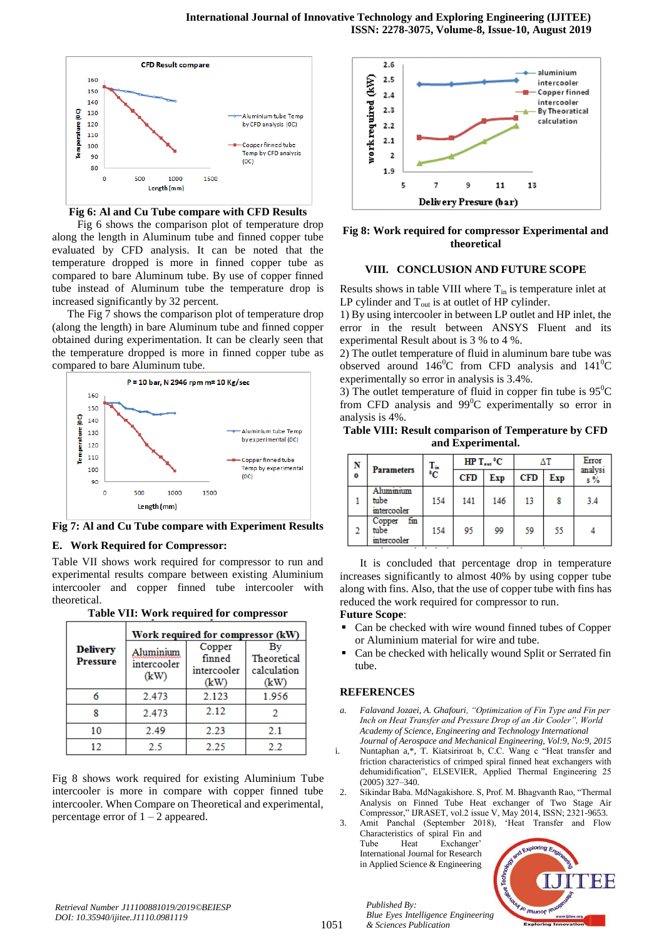

**Fig 6: Al and Cu Tube compare with CFD Results**

Fig 6 shows the comparison plot of temperature drop along the length in Aluminum tube and finned copper tube evaluated by CFD analysis. It can be noted that the temperature dropped is more in finned copper tube as compared to bare Aluminum tube. By use of copper finned tube instead of Aluminum tube the temperature drop is increased significantly by 32 percent.

The Fig 7 shows the comparison plot of temperature drop (along the length) in bare Aluminum tube and finned copper obtained during experimentation. It can be clearly seen that the temperature dropped is more in finned copper tube as compared to bare Aluminum tube.



**Fig 7: Al and Cu Tube compare with Experiment Results**

## **E. Work Required for Compressor:**

Table VII shows work required for compressor to run and experimental results compare between existing Aluminium intercooler and copper finned tube intercooler with theoretical.

**Table VII: Work required for compressor**

|                                    | Work required for compressor (kW) |                                         |                                          |  |  |  |
|------------------------------------|-----------------------------------|-----------------------------------------|------------------------------------------|--|--|--|
| <b>Delivery</b><br><b>Pressure</b> | Juminium<br>intercooler<br>(kW)   | Copper<br>finned<br>intercooler<br>(kW) | Bv<br>Theoretical<br>calculation<br>(kW) |  |  |  |
| 2.473                              |                                   | 2.123                                   | 1.956                                    |  |  |  |
|                                    | 2.473                             | 2.12                                    |                                          |  |  |  |
| 10                                 | 2.49                              | 2.23                                    | 2.1                                      |  |  |  |
| 12                                 | 2.5                               | 2.25                                    | 22                                       |  |  |  |

Fig 8 shows work required for existing Aluminium Tube intercooler is more in compare with copper finned tube intercooler. When Compare on Theoretical and experimental, percentage error of  $1 - 2$  appeared.



**Fig 8: Work required for compressor Experimental and theoretical**

## **VIII. CONCLUSION AND FUTURE SCOPE**

Results shows in table VIII where  $T_{in}$  is temperature inlet at LP cylinder and  $T_{\text{out}}$  is at outlet of HP cylinder.

1) By using intercooler in between LP outlet and HP inlet, the error in the result between ANSYS Fluent and its experimental Result about is 3 % to 4 %.

2) The outlet temperature of fluid in aluminum bare tube was observed around  $146^{\circ}$ C from CFD analysis and  $141^{\circ}$ C experimentally so error in analysis is 3.4%.

3) The outlet temperature of fluid in copper fin tube is  $95^{\circ}$ C from CFD analysis and  $99^{\circ}$ C experimentally so error in analysis is 4%.

**Table VIII: Result comparison of Temperature by CFD and Experimental.**

| N         | <b>Parameters</b>                    | T.<br>°C | $HPT_{out}$ <sup>o</sup> C |     | ΔΤ         |     | Error<br>analysi |
|-----------|--------------------------------------|----------|----------------------------|-----|------------|-----|------------------|
| $\bullet$ |                                      |          | <b>CFD</b>                 | Exp | <b>CFD</b> | Exp | $s \%$           |
|           | Aluminium<br>tube<br>intercooler     | 154      | 141                        | 146 | 13         | 8   | 3.4              |
|           | fin<br>Copper<br>tube<br>intercooler | 154      | 95                         | 99  | 59         | 55  |                  |

It is concluded that percentage drop in temperature increases significantly to almost 40% by using copper tube along with fins. Also, that the use of copper tube with fins has reduced the work required for compressor to run.

## **Future Scope**:

- Can be checked with wire wound finned tubes of Copper or Aluminium material for wire and tube.
- Can be checked with helically wound Split or Serrated fin tube.

#### **REFERENCES**

- *a. Falavand Jozaei, A. Ghafouri, "Optimization of Fin Type and Fin per Inch on Heat Transfer and Pressure Drop of an Air Cooler", World Academy of Science, Engineering and Technology International Journal of Aerospace and Mechanical Engineering, Vol:9, No:9, 2015*
- i. Nuntaphan a,\*, T. Kiatsiriroat b, C.C. Wang c "Heat transfer and friction characteristics of crimped spiral finned heat exchangers with dehumidification", ELSEVIER, Applied Thermal Engineering 25 (2005) 327–340.
- 2. Sikindar Baba. MdNagakishore. S, Prof. M. Bhagvanth Rao, "Thermal Analysis on Finned Tube Heat exchanger of Two Stage Air Compressor," IJRASET, vol.2 issue V, May 2014, ISSN; 2321-9653.
- 3. Amit Panchal (September 2018), 'Heat Transfer and Flow Characteristics of spiral Fin and Tube Heat Exchanger' International Journal for Research in Applied Science & Engineering

*Published By:*

*& Sciences Publication* 



*Retrieval Number J11100881019/2019©BEIESP DOI: 10.35940/ijitee.J1110.0981119*